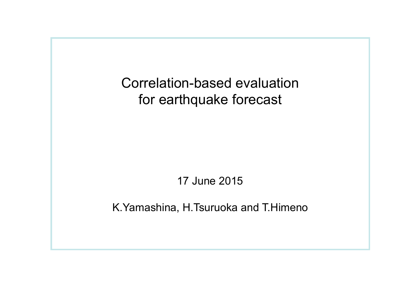Correlation-based evaluation for earthquake forecast

17 June 2015

K.Yamashina, H.Tsuruoka and T.Himeno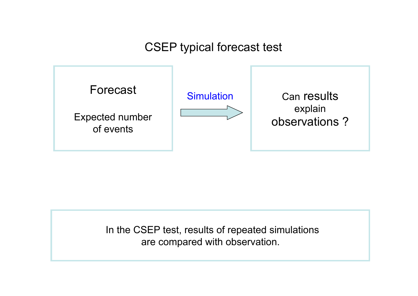## CSEP typical forecast test



 In the CSEP test, results of repeated simulations are compared with observation.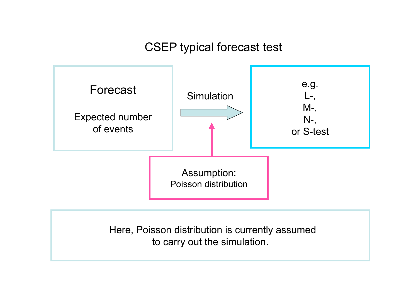## CSEP typical forecast test



 Here, Poisson distribution is currently assumed to carry out the simulation.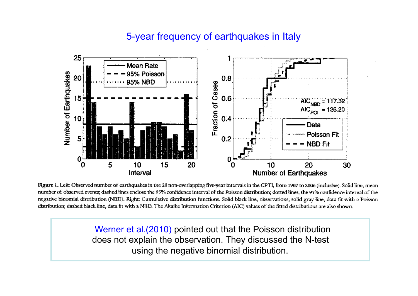## 5-year frequency of earthquakes in Italy



Figure 1. Left: Observed number of earthquakes in the 20 non-overlapping five-year intervals in the CPTI, from 1907 to 2006 (inclusive). Solid line, mean number of observed events; dashed lines enclose the 95% confidence interval of the Poisson distribution; dotted lines, the 95% confidence interval of the negative binomial distribution (NBD). Right: Cumulative distribution functions. Solid black line, observations; solid gray line, data fit with a Poisson distribution; dashed black line, data fit with a NBD. The Akaike Information Criterion (AIC) values of the fitted distributions are also shown.

 Werner et al.(2010) pointed out that the Poisson distribution does not explain the observation. They discussed the N-test using the negative binomial distribution.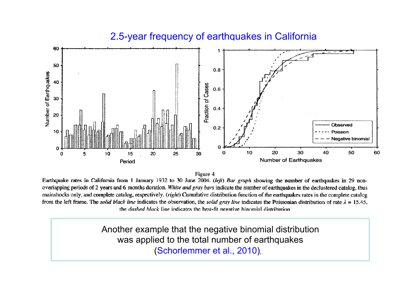#### 60 50  $0.8$ Number of Earthquakes 40 Fraction of Cases  $0.6$ 30  $0.4$ 20 Observed  $0.2$ 10 Poisson **Negative binomial** 20 30 40  $\Omega$ 10 50 60 20 25 30 0 5 10 15 **Number of Earthquakes** Period

### 2.5-year frequency of earthquakes in California

Figure 4

Earthquake rates in California from 1 January 1932 to 30 June 2004. (left) Bar graph showing the number of earthquakes in 29 nonoverlapping periods of 2 years and 6 months duration. White and gray bars indicate the number of earthquakes in the declustered catalog, thus mainshocks only, and complete catalog, respectively. (right) Cumulative distribution function of the earthquakes rates in the complete catalog from the left frame. The solid black line indicates the observation, the solid gray line indicates the Poissonian distribution of rate  $\lambda = 15.45$ , the *dashed black line* indicates the best-fit negative binomial distribution

Another example that the negative binomial distribution was applied to the total number of earthquakes (Schorlemmer et al., 2010).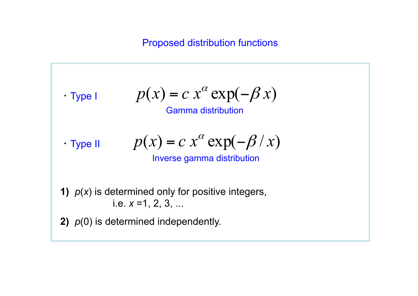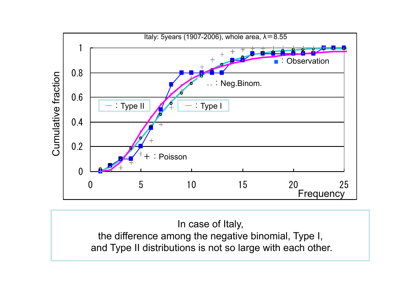

In case of Italy, the difference among the negative binomial, Type I, and Type II distributions is not so large with each other.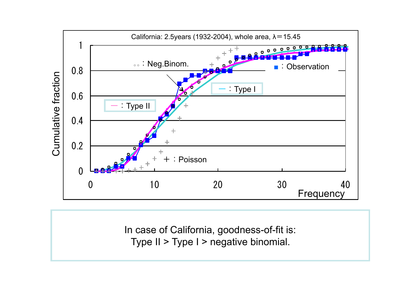

In case of California, goodness-of-fit is: Type II > Type I > negative binomial.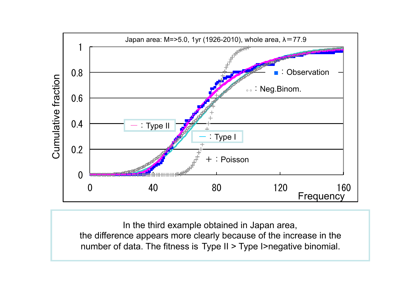

In the third example obtained in Japan area, the difference appears more clearly because of the increase in the number of data. The fitness is Type II > Type I>negative binomial.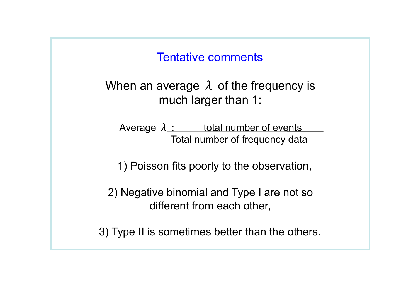# Tentative comments

When an average  $\lambda$  of the frequency is much larger than 1:

Average  $\lambda$  : total number of events Total number of frequency data

1) Poisson fits poorly to the observation,

2) Negative binomial and Type I are not so different from each other,

3) Type II is sometimes better than the others.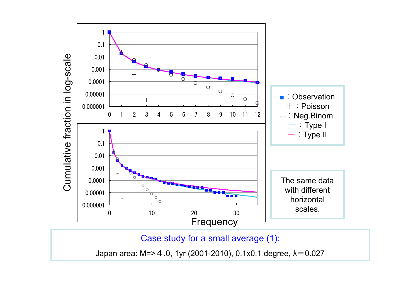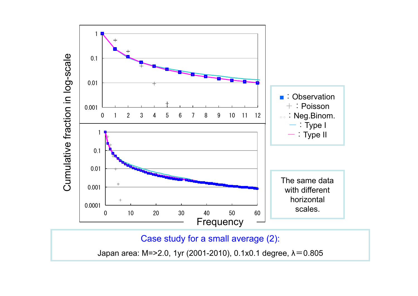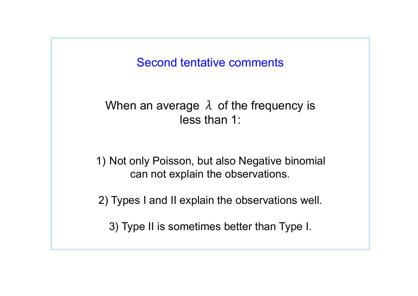Second tentative comments

# When an average  $\lambda$  of the frequency is less than 1:

1) Not only Poisson, but also Negative binomial can not explain the observations.

2) Types I and II explain the observations well.

3) Type II is sometimes better than Type I.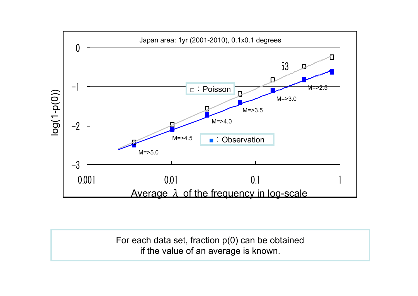

For each data set, fraction p(0) can be obtained if the value of an average is known.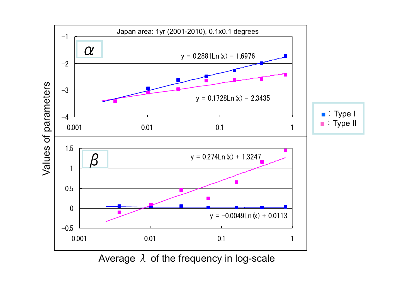

Average  $\lambda$  of the frequency in log-scale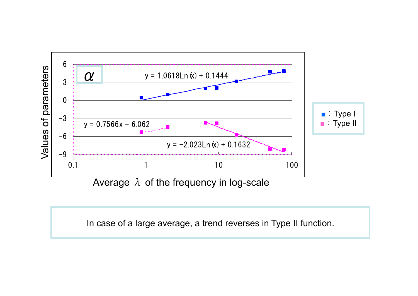

In case of a large average, a trend reverses in Type II function.